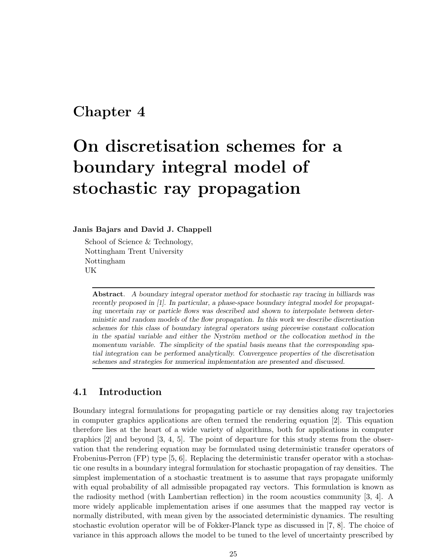## Chapter 4

# On discretisation schemes for a boundary integral model of stochastic ray propagation

#### Janis Bajars and David J. Chappell

School of Science & Technology, Nottingham Trent University Nottingham UK

Abstract. A boundary integral operator method for stochastic ray tracing in billiards was recently proposed in [1]. In particular, a phase-space boundary integral model for propagating uncertain ray or particle flows was described and shown to interpolate between deterministic and random models of the flow propagation. In this work we describe discretisation schemes for this class of boundary integral operators using piecewise constant collocation in the spatial variable and either the Nyström method or the collocation method in the momentum variable. The simplicity of the spatial basis means that the corresponding spatial integration can be performed analytically. Convergence properties of the discretisation schemes and strategies for numerical implementation are presented and discussed.

#### 4.1 Introduction

Boundary integral formulations for propagating particle or ray densities along ray trajectories in computer graphics applications are often termed the rendering equation [2]. This equation therefore lies at the heart of a wide variety of algorithms, both for applications in computer graphics  $[2]$  and beyond  $[3, 4, 5]$ . The point of departure for this study stems from the observation that the rendering equation may be formulated using deterministic transfer operators of Frobenius-Perron (FP) type [5, 6]. Replacing the deterministic transfer operator with a stochastic one results in a boundary integral formulation for stochastic propagation of ray densities. The simplest implementation of a stochastic treatment is to assume that rays propagate uniformly with equal probability of all admissible propagated ray vectors. This formulation is known as the radiosity method (with Lambertian reflection) in the room acoustics community [3, 4]. A more widely applicable implementation arises if one assumes that the mapped ray vector is normally distributed, with mean given by the associated deterministic dynamics. The resulting stochastic evolution operator will be of Fokker-Planck type as discussed in [7, 8]. The choice of variance in this approach allows the model to be tuned to the level of uncertainty prescribed by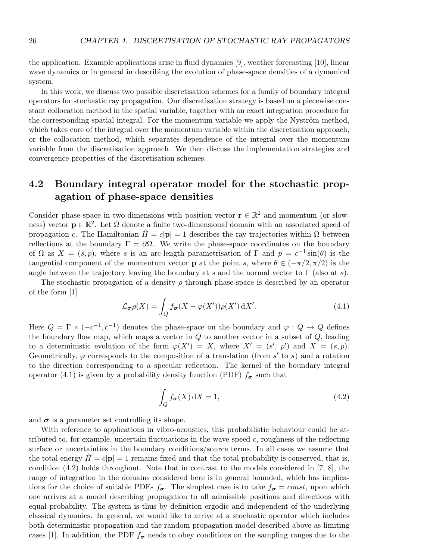the application. Example applications arise in fluid dynamics [9], weather forecasting [10], linear wave dynamics or in general in describing the evolution of phase-space densities of a dynamical system.

In this work, we discuss two possible discretisation schemes for a family of boundary integral operators for stochastic ray propagation. Our discretisation strategy is based on a piecewise constant collocation method in the spatial variable, together with an exact integration procedure for the corresponding spatial integral. For the momentum variable we apply the Nyström method, which takes care of the integral over the momentum variable within the discretisation approach, or the collocation method, which separates dependence of the integral over the momentum variable from the discretisation approach. We then discuss the implementation strategies and convergence properties of the discretisation schemes.

### 4.2 Boundary integral operator model for the stochastic propagation of phase-space densities

Consider phase-space in two-dimensions with position vector  $\mathbf{r} \in \mathbb{R}^2$  and momentum (or slowness) vector  $\mathbf{p} \in \mathbb{R}^2$ . Let  $\Omega$  denote a finite two-dimensional domain with an associated speed of propagation c. The Hamiltonian  $\hat{H} = c|\mathbf{p}| = 1$  describes the ray trajectories within  $\Omega$  between reflections at the boundary  $\Gamma = \partial \Omega$ . We write the phase-space coordinates on the boundary of  $\Omega$  as  $X = (s, p)$ , where s is an arc-length parametrisation of  $\Gamma$  and  $p = c^{-1} \sin(\theta)$  is the tangential component of the momentum vector **p** at the point s, where  $\theta \in (-\pi/2, \pi/2)$  is the angle between the trajectory leaving the boundary at s and the normal vector to  $\Gamma$  (also at s).

The stochastic propagation of a density  $\rho$  through phase-space is described by an operator of the form [1]

$$
\mathcal{L}_{\sigma}\rho(X) = \int_{Q} f_{\sigma}(X - \varphi(X'))\rho(X') dX'. \tag{4.1}
$$

Here  $Q = \Gamma \times (-c^{-1}, c^{-1})$  denotes the phase-space on the boundary and  $\varphi : Q \to Q$  defines the boundary flow map, which maps a vector in  $Q$  to another vector in a subset of  $Q$ , leading to a deterministic evolution of the form  $\varphi(X') = X$ , where  $X' = (s', p')$  and  $X = (s, p)$ . Geometrically,  $\varphi$  corresponds to the composition of a translation (from s' to s) and a rotation to the direction corresponding to a specular reflection. The kernel of the boundary integral operator (4.1) is given by a probability density function (PDF)  $f_{\sigma}$  such that

$$
\int_{Q} f_{\sigma}(X) dX = 1,\tag{4.2}
$$

and  $\sigma$  is a parameter set controlling its shape.

With reference to applications in vibro-acoustics, this probabilistic behaviour could be attributed to, for example, uncertain fluctuations in the wave speed  $c$ , roughness of the reflecting surface or uncertainties in the boundary conditions/source terms. In all cases we assume that the total energy  $H = c|\mathbf{p}| = 1$  remains fixed and that the total probability is conserved, that is, condition (4.2) holds throughout. Note that in contrast to the models considered in [7, 8], the range of integration in the domains considered here is in general bounded, which has implications for the choice of suitable PDFs  $f_{\sigma}$ . The simplest case is to take  $f_{\sigma} = const$ , upon which one arrives at a model describing propagation to all admissible positions and directions with equal probability. The system is thus by definition ergodic and independent of the underlying classical dynamics. In general, we would like to arrive at a stochastic operator which includes both deterministic propagation and the random propagation model described above as limiting cases [1]. In addition, the PDF  $f_{\sigma}$  needs to obey conditions on the sampling ranges due to the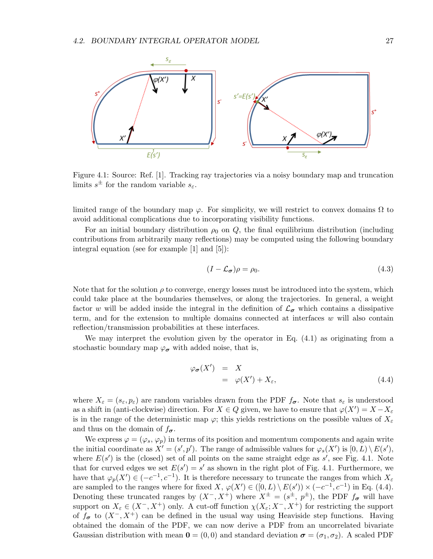

Figure 4.1: Source: Ref. [1]. Tracking ray trajectories via a noisy boundary map and truncation limits  $s^{\pm}$  for the random variable  $s_{\varepsilon}$ .

limited range of the boundary map  $\varphi$ . For simplicity, we will restrict to convex domains  $\Omega$  to avoid additional complications due to incorporating visibility functions.

For an initial boundary distribution  $\rho_0$  on Q, the final equilibrium distribution (including contributions from arbitrarily many reflections) may be computed using the following boundary integral equation (see for example [1] and [5]):

$$
(I - \mathcal{L}_{\sigma})\rho = \rho_0. \tag{4.3}
$$

Note that for the solution  $\rho$  to converge, energy losses must be introduced into the system, which could take place at the boundaries themselves, or along the trajectories. In general, a weight factor w will be added inside the integral in the definition of  $\mathcal{L}_{\sigma}$  which contains a dissipative term, and for the extension to multiple domains connected at interfaces  $w$  will also contain reflection/transmission probabilities at these interfaces.

We may interpret the evolution given by the operator in Eq. (4.1) as originating from a stochastic boundary map  $\varphi_{\sigma}$  with added noise, that is,

$$
\varphi_{\sigma}(X') = X \n= \varphi(X') + X_{\varepsilon},
$$
\n(4.4)

where  $X_{\varepsilon} = (s_{\varepsilon}, p_{\varepsilon})$  are random variables drawn from the PDF  $f_{\sigma}$ . Note that  $s_{\varepsilon}$  is understood as a shift in (anti-clockwise) direction. For  $X \in Q$  given, we have to ensure that  $\varphi(X') = X - X_{\varepsilon}$ is in the range of the deterministic map  $\varphi$ ; this yields restrictions on the possible values of  $X_{\varepsilon}$ and thus on the domain of  $f_{\sigma}$ .

We express  $\varphi = (\varphi_s, \varphi_p)$  in terms of its position and momentum components and again write the initial coordinate as  $X' = (s', p')$ . The range of admissible values for  $\varphi_s(X')$  is  $[0, L) \setminus E(s')$ , where  $E(s')$  is the (closed) set of all points on the same straight edge as  $s'$ , see Fig. 4.1. Note that for curved edges we set  $E(s') = s'$  as shown in the right plot of Fig. 4.1. Furthermore, we have that  $\varphi_p(X') \in (-c^{-1}, c^{-1})$ . It is therefore necessary to truncate the ranges from which  $X_{\varepsilon}$ are sampled to the ranges where for fixed  $X, \varphi(X') \in ([0, L) \setminus E(s')) \times (-c^{-1}, c^{-1})$  in Eq. (4.4). Denoting these truncated ranges by  $(X^-, X^+)$  where  $X^{\pm} = (s^{\pm}, p^{\pm})$ , the PDF  $f_{\sigma}$  will have support on  $X_{\varepsilon} \in (X^-, X^+)$  only. A cut-off function  $\chi(X_{\varepsilon}; X^-, X^+)$  for restricting the support of  $f_{\sigma}$  to  $(X^{-}, X^{+})$  can be defined in the usual way using Heaviside step functions. Having obtained the domain of the PDF, we can now derive a PDF from an uncorrelated bivariate Gaussian distribution with mean  $\mathbf{0} = (0,0)$  and standard deviation  $\boldsymbol{\sigma} = (\sigma_1, \sigma_2)$ . A scaled PDF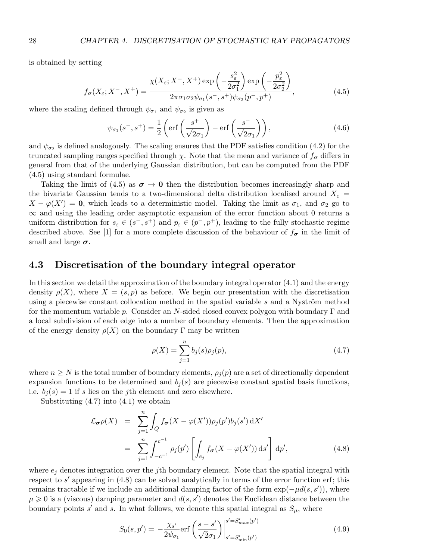is obtained by setting

$$
f_{\sigma}(X_{\varepsilon}; X^{-}, X^{+}) = \frac{\chi(X_{\varepsilon}; X^{-}, X^{+}) \exp\left(-\frac{s_{\varepsilon}^{2}}{2\sigma_{1}^{2}}\right) \exp\left(-\frac{p_{\varepsilon}^{2}}{2\sigma_{2}^{2}}\right)}{2\pi\sigma_{1}\sigma_{2}\psi_{\sigma_{1}}(s^{-}, s^{+})\psi_{\sigma_{2}}(p^{-}, p^{+})},
$$
(4.5)

where the scaling defined through  $\psi_{\sigma_1}$  and  $\psi_{\sigma_2}$  is given as

$$
\psi_{\sigma_1}(s^-,s^+) = \frac{1}{2} \left( \text{erf}\left(\frac{s^+}{\sqrt{2}\sigma_1}\right) - \text{erf}\left(\frac{s^-}{\sqrt{2}\sigma_1}\right) \right),\tag{4.6}
$$

and  $\psi_{\sigma_2}$  is defined analogously. The scaling ensures that the PDF satisfies condition (4.2) for the truncated sampling ranges specified through  $\chi$ . Note that the mean and variance of  $f_{\sigma}$  differs in general from that of the underlying Gaussian distribution, but can be computed from the PDF (4.5) using standard formulae.

Taking the limit of (4.5) as  $\sigma \to 0$  then the distribution becomes increasingly sharp and the bivariate Gaussian tends to a two-dimensional delta distribution localised around  $X_{\varepsilon} =$  $X - \varphi(X') = 0$ , which leads to a deterministic model. Taking the limit as  $\sigma_1$ , and  $\sigma_2$  go to ∞ and using the leading order asymptotic expansion of the error function about 0 returns a uniform distribution for  $s_{\varepsilon} \in (s^-, s^+)$  and  $p_{\varepsilon} \in (p^-, p^+)$ , leading to the fully stochastic regime described above. See [1] for a more complete discussion of the behaviour of  $f_{\sigma}$  in the limit of small and large  $\sigma$ .

#### 4.3 Discretisation of the boundary integral operator

In this section we detail the approximation of the boundary integral operator (4.1) and the energy density  $\rho(X)$ , where  $X = (s, p)$  as before. We begin our presentation with the discretisation using a piecewise constant collocation method in the spatial variable  $s$  and a Nyström method for the momentum variable p. Consider an N-sided closed convex polygon with boundary  $\Gamma$  and a local subdivision of each edge into a number of boundary elements. Then the approximation of the energy density  $\rho(X)$  on the boundary  $\Gamma$  may be written

$$
\rho(X) = \sum_{j=1}^{n} b_j(s)\rho_j(p),
$$
\n(4.7)

where  $n \geq N$  is the total number of boundary elements,  $\rho_j(p)$  are a set of directionally dependent expansion functions to be determined and  $b_i(s)$  are piecewise constant spatial basis functions, i.e.  $b_i(s) = 1$  if s lies on the jth element and zero elsewhere.

Substituting  $(4.7)$  into  $(4.1)$  we obtain

$$
\mathcal{L}_{\sigma}\rho(X) = \sum_{j=1}^{n} \int_{Q} f_{\sigma}(X - \varphi(X'))\rho_{j}(p')b_{j}(s') dX'
$$
  

$$
= \sum_{j=1}^{n} \int_{-c^{-1}}^{c^{-1}} \rho_{j}(p') \left[ \int_{e_{j}} f_{\sigma}(X - \varphi(X')) ds' \right] dp', \qquad (4.8)
$$

where  $e_i$  denotes integration over the j<sup>th</sup> boundary element. Note that the spatial integral with respect to  $s'$  appearing in  $(4.8)$  can be solved analytically in terms of the error function erf; this remains tractable if we include an additional damping factor of the form  $\exp(-\mu d(s, s'))$ , where  $\mu \geq 0$  is a (viscous) damping parameter and  $d(s, s')$  denotes the Euclidean distance between the boundary points s' and s. In what follows, we denote this spatial integral as  $S_{\mu}$ , where

$$
S_0(s, p') = -\frac{\chi_{s'}}{2\psi_{\sigma_1}} \text{erf}\left(\frac{s - s'}{\sqrt{2}\sigma_1}\right) \Big|_{s' = S'_{\min}(p')}^{s' = S'_{\max}(p')}\tag{4.9}
$$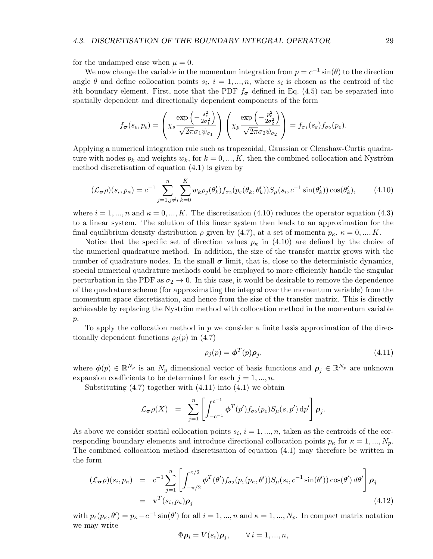for the undamped case when  $\mu = 0$ .

We now change the variable in the momentum integration from  $p = c^{-1} \sin(\theta)$  to the direction angle  $\theta$  and define collocation points  $s_i$ ,  $i = 1, ..., n$ , where  $s_i$  is chosen as the centroid of the ith boundary element. First, note that the PDF  $f_{\sigma}$  defined in Eq. (4.5) can be separated into spatially dependent and directionally dependent components of the form

$$
f_{\boldsymbol{\sigma}}(s_{\epsilon}, p_{\epsilon}) = \left(x_{\epsilon} \frac{\exp\left(-\frac{s_{\epsilon}^2}{2\sigma_1^2}\right)}{\sqrt{2\pi}\sigma_1\psi_{\sigma_1}}\right) \left(x_{p} \frac{\exp\left(-\frac{p_{\epsilon}^2}{2\sigma_2^2}\right)}{\sqrt{2\pi}\sigma_2\psi_{\sigma_2}}\right) = f_{\sigma_1}(s_{\epsilon})f_{\sigma_2}(p_{\epsilon}).
$$

Applying a numerical integration rule such as trapezoidal, Gaussian or Clenshaw-Curtis quadrature with nodes  $p_k$  and weights  $w_k$ , for  $k = 0, ..., K$ , then the combined collocation and Nyström method discretisation of equation (4.1) is given by

$$
(\mathcal{L}_{\sigma}\rho)(s_i, p_{\kappa}) = c^{-1} \sum_{j=1, j \neq i}^{n} \sum_{k=0}^{K} w_k \rho_j(\theta'_k) f_{\sigma_2}(p_{\varepsilon}(\theta_k, \theta'_k)) S_{\mu}(s_i, c^{-1} \sin(\theta'_k)) \cos(\theta'_k), \tag{4.10}
$$

where  $i = 1, ..., n$  and  $\kappa = 0, ..., K$ . The discretisation (4.10) reduces the operator equation (4.3) to a linear system. The solution of this linear system then leads to an approximation for the final equilibrium density distribution  $\rho$  given by (4.7), at a set of momenta  $p_{\kappa}$ ,  $\kappa = 0, ..., K$ .

Notice that the specific set of direction values  $p_{\kappa}$  in (4.10) are defined by the choice of the numerical quadrature method. In addition, the size of the transfer matrix grows with the number of quadrature nodes. In the small  $\sigma$  limit, that is, close to the deterministic dynamics, special numerical quadrature methods could be employed to more efficiently handle the singular perturbation in the PDF as  $\sigma_2 \rightarrow 0$ . In this case, it would be desirable to remove the dependence of the quadrature scheme (for approximating the integral over the momentum variable) from the momentum space discretisation, and hence from the size of the transfer matrix. This is directly achievable by replacing the Nyström method with collocation method in the momentum variable  $p$ .

To apply the collocation method in  $p$  we consider a finite basis approximation of the directionally dependent functions  $\rho_i(p)$  in (4.7)

$$
\rho_j(p) = \boldsymbol{\phi}^T(p)\boldsymbol{\rho}_j,\tag{4.11}
$$

where  $\phi(p) \in \mathbb{R}^{N_p}$  is an  $N_p$  dimensional vector of basis functions and  $\rho_j \in \mathbb{R}^{N_p}$  are unknown expansion coefficients to be determined for each  $j = 1, ..., n$ .

Substituting  $(4.7)$  together with  $(4.11)$  into  $(4.1)$  we obtain

$$
\mathcal{L}_{\sigma}\rho(X) = \sum_{j=1}^{n} \left[ \int_{-c^{-1}}^{c^{-1}} \phi^{T}(p') f_{\sigma_2}(p_{\varepsilon}) S_{\mu}(s, p') dp' \right] \rho_j.
$$

As above we consider spatial collocation points  $s_i$ ,  $i = 1, ..., n$ , taken as the centroids of the corresponding boundary elements and introduce directional collocation points  $p_{\kappa}$  for  $\kappa = 1, ..., N_p$ . The combined collocation method discretisation of equation (4.1) may therefore be written in the form

$$
(\mathcal{L}_{\sigma}\rho)(s_i, p_{\kappa}) = c^{-1} \sum_{j=1}^n \left[ \int_{-\pi/2}^{\pi/2} \phi^T(\theta') f_{\sigma_2}(p_{\varepsilon}(p_{\kappa}, \theta')) S_{\mu}(s_i, c^{-1} \sin(\theta')) \cos(\theta') d\theta' \right] \rho_j
$$
  
=  $\mathbf{v}^T(s_i, p_{\kappa}) \rho_j$  (4.12)

with  $p_{\varepsilon}(p_{\kappa},\theta')=p_{\kappa}-c^{-1}\sin(\theta')$  for all  $i=1,...,n$  and  $\kappa=1,...,N_p$ . In compact matrix notation we may write

$$
\Phi \rho_i = V(s_i) \rho_j, \qquad \forall \, i = 1, ..., n,
$$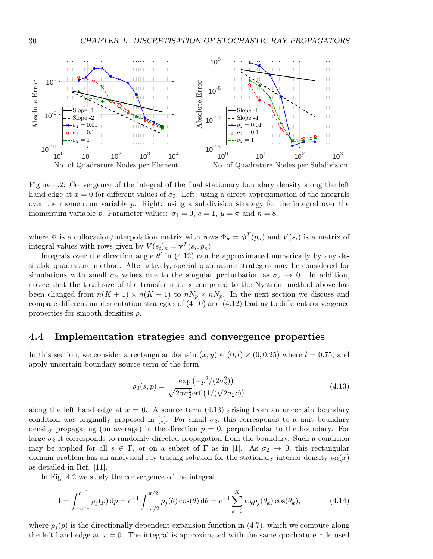

Figure 4.2: Convergence of the integral of the final stationary boundary density along the left hand edge at  $x = 0$  for different values of  $\sigma_2$ . Left: using a direct approximation of the integrals over the momentum variable  $p$ . Right: using a subdivision strategy for the integral over the momentum variable p. Parameter values:  $\sigma_1 = 0$ ,  $c = 1$ ,  $\mu = \pi$  and  $n = 8$ .

where  $\Phi$  is a collocation/interpolation matrix with rows  $\Phi_{\kappa} = \phi^{T}(p_{\kappa})$  and  $V(s_i)$  is a matrix of integral values with rows given by  $V(s_i)_{\kappa} = \mathbf{v}^T(s_i, p_{\kappa}).$ 

Integrals over the direction angle  $\theta'$  in (4.12) can be approximated numerically by any desirable quadrature method. Alternatively, special quadrature strategies may be considered for simulations with small  $\sigma_2$  values due to the singular perturbation as  $\sigma_2 \to 0$ . In addition, notice that the total size of the transfer matrix compared to the Nyström method above has been changed from  $n(K + 1) \times n(K + 1)$  to  $nN_p \times nN_p$ . In the next section we discuss and compare different implementation strategies of (4.10) and (4.12) leading to different convergence properties for smooth densities  $\rho$ .

#### 4.4 Implementation strategies and convergence properties

In this section, we consider a rectangular domain  $(x, y) \in (0, l) \times (0, 0.25)$  where  $l = 0.75$ , and apply uncertain boundary source term of the form

$$
\rho_0(s,p) = \frac{\exp(-p^2/(2\sigma_2^2))}{\sqrt{2\pi\sigma_2^2}\text{erf}\left(1/(\sqrt{2}\sigma_2 c)\right)}
$$
(4.13)

along the left hand edge at  $x = 0$ . A source term  $(4.13)$  arising from an uncertain boundary condition was originally proposed in [1]. For small  $\sigma_2$ , this corresponds to a unit boundary density propagating (on average) in the direction  $p = 0$ , perpendicular to the boundary. For large  $\sigma_2$  it corresponds to randomly directed propagation from the boundary. Such a condition may be applied for all  $s \in \Gamma$ , or on a subset of  $\Gamma$  as in [1]. As  $\sigma_2 \to 0$ , this rectangular domain problem has an analytical ray tracing solution for the stationary interior density  $\rho_{\Omega}(x)$ as detailed in Ref. [11].

In Fig. 4.2 we study the convergence of the integral

$$
I = \int_{-c^{-1}}^{c^{-1}} \rho_j(p) dp = c^{-1} \int_{-\pi/2}^{\pi/2} \rho_j(\theta) \cos(\theta) d\theta = c^{-1} \sum_{k=0}^{K} w_k \rho_j(\theta_k) \cos(\theta_k), \tag{4.14}
$$

where  $\rho_j(p)$  is the directionally dependent expansion function in (4.7), which we compute along the left hand edge at  $x = 0$ . The integral is approximated with the same quadrature rule used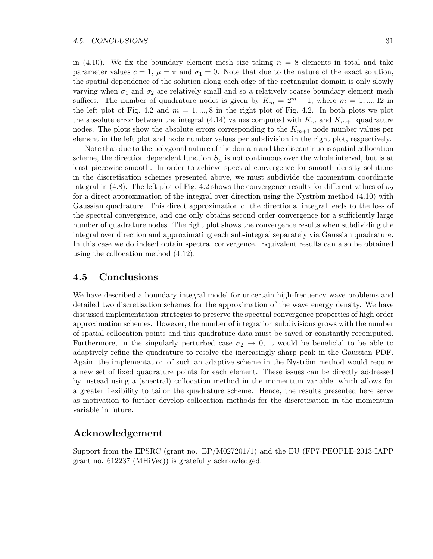in (4.10). We fix the boundary element mesh size taking  $n = 8$  elements in total and take parameter values  $c = 1$ ,  $\mu = \pi$  and  $\sigma_1 = 0$ . Note that due to the nature of the exact solution, the spatial dependence of the solution along each edge of the rectangular domain is only slowly varying when  $\sigma_1$  and  $\sigma_2$  are relatively small and so a relatively coarse boundary element mesh suffices. The number of quadrature nodes is given by  $K_m = 2^m + 1$ , where  $m = 1, ..., 12$  in the left plot of Fig. 4.2 and  $m = 1, ..., 8$  in the right plot of Fig. 4.2. In both plots we plot the absolute error between the integral (4.14) values computed with  $K_m$  and  $K_{m+1}$  quadrature nodes. The plots show the absolute errors corresponding to the  $K_{m+1}$  node number values per element in the left plot and node number values per subdivision in the right plot, respectively.

Note that due to the polygonal nature of the domain and the discontinuous spatial collocation scheme, the direction dependent function  $S_{\mu}$  is not continuous over the whole interval, but is at least piecewise smooth. In order to achieve spectral convergence for smooth density solutions in the discretisation schemes presented above, we must subdivide the momentum coordinate integral in (4.8). The left plot of Fig. 4.2 shows the convergence results for different values of  $\sigma_2$ for a direct approximation of the integral over direction using the Nyström method  $(4.10)$  with Gaussian quadrature. This direct approximation of the directional integral leads to the loss of the spectral convergence, and one only obtains second order convergence for a sufficiently large number of quadrature nodes. The right plot shows the convergence results when subdividing the integral over direction and approximating each sub-integral separately via Gaussian quadrature. In this case we do indeed obtain spectral convergence. Equivalent results can also be obtained using the collocation method (4.12).

#### 4.5 Conclusions

We have described a boundary integral model for uncertain high-frequency wave problems and detailed two discretisation schemes for the approximation of the wave energy density. We have discussed implementation strategies to preserve the spectral convergence properties of high order approximation schemes. However, the number of integration subdivisions grows with the number of spatial collocation points and this quadrature data must be saved or constantly recomputed. Furthermore, in the singularly perturbed case  $\sigma_2 \rightarrow 0$ , it would be beneficial to be able to adaptively refine the quadrature to resolve the increasingly sharp peak in the Gaussian PDF. Again, the implementation of such an adaptive scheme in the Nyström method would require a new set of fixed quadrature points for each element. These issues can be directly addressed by instead using a (spectral) collocation method in the momentum variable, which allows for a greater flexibility to tailor the quadrature scheme. Hence, the results presented here serve as motivation to further develop collocation methods for the discretisation in the momentum variable in future.

#### Acknowledgement

Support from the EPSRC (grant no. EP/M027201/1) and the EU (FP7-PEOPLE-2013-IAPP grant no. 612237 (MHiVec)) is gratefully acknowledged.